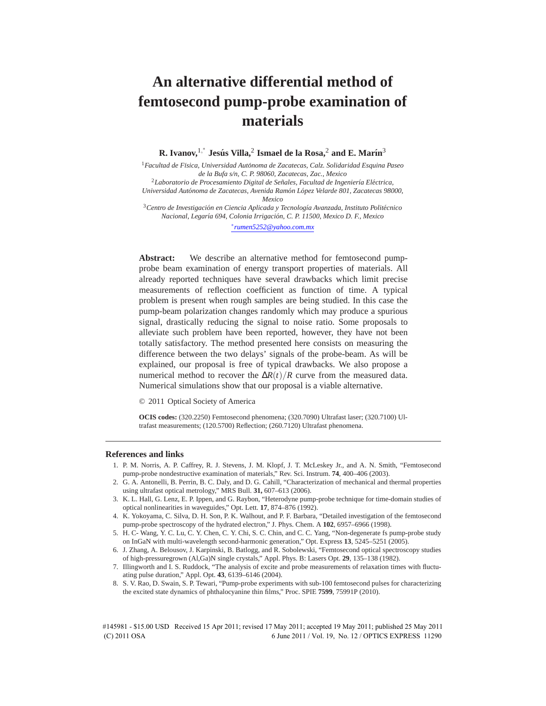# **An alternative differential method of femtosecond pump-probe examination of materials**

**R. Ivanov,**1, ∗ **Jesus´ Villa,**<sup>2</sup> **Ismael de la Rosa,**<sup>2</sup> **and E. Mar´ın**<sup>3</sup>

<sup>1</sup>*Facultad de F´ısica, Universidad Autonoma de Zacatecas, Calz. Solidaridad Esquina Paseo ´ de la Bufa s/n, C. P. 98060, Zacatecas, Zac., Mexico* <sup>2</sup> Laboratorio de Procesamiento Digital de Señales, Facultad de Ingeniería Eléctrica,

*Universidad Autónoma de Zacatecas, Avenida Ramón López Velarde 801, Zacatecas 98000, Mexico*

<sup>3</sup>*Centro de Investigacion en Ciencia Aplicada y Tecnolog ´ ´ıa Avanzada, Instituto Politecnico ´ Nacional, Legar´ıa 694, Colonia Irrigacion, C. P. 11500, Mexico D. F., Mexico ´*

∗ *rumen5252@yahoo.com.mx*

**Abstract:** We describe an alternative method for femtosecond pumpprobe beam examination of energy transport properties of materials. All already reported techniques have several drawbacks which limit precise measurements of reflection coefficient as function of time. A typical problem is present when rough samples are being studied. In this case the pump-beam polarization changes randomly which may produce a spurious signal, drastically reducing the signal to noise ratio. Some proposals to alleviate such problem have been reported, however, they have not been totally satisfactory. The method presented here consists on measuring the difference between the two delays' signals of the probe-beam. As will be explained, our proposal is free of typical drawbacks. We also propose a numerical method to recover the  $\Delta R(t)/R$  curve from the measured data. Numerical simulations show that our proposal is a viable alternative.

© 2011 Optical Society of America

**OCIS codes:** (320.2250) Femtosecond phenomena; (320.7090) Ultrafast laser; (320.7100) Ultrafast measurements; (120.5700) Reflection; (260.7120) Ultrafast phenomena.

#### **References and links**

- 1. P. M. Norris, A. P. Caffrey, R. J. Stevens, J. M. Klopf, J. T. McLeskey Jr., and A. N. Smith, "Femtosecond pump-probe nondestructive examination of materials," Rev. Sci. Instrum. **74**, 400–406 (2003).
- 2. G. A. Antonelli, B. Perrin, B. C. Daly, and D. G. Cahill, "Characterization of mechanical and thermal properties using ultrafast optical metrology," MRS Bull. **31,** 607–613 (2006).
- 3. K. L. Hall, G. Lenz, E. P. Ippen, and G. Raybon, "Heterodyne pump-probe technique for time-domain studies of optical nonlinearities in waveguides," Opt. Lett. **17**, 874–876 (1992).
- 4. K. Yokoyama, C. Silva, D. H. Son, P. K. Walhout, and P. F. Barbara, "Detailed investigation of the femtosecond pump-probe spectroscopy of the hydrated electron," J. Phys. Chem. A **102**, 6957–6966 (1998).
- 5. H. C- Wang, Y. C. Lu, C. Y. Chen, C. Y. Chi, S. C. Chin, and C. C. Yang, "Non-degenerate fs pump-probe study on InGaN with multi-wavelength second-harmonic generation," Opt. Express **13**, 5245–5251 (2005).
- 6. J. Zhang, A. Belousov, J. Karpinski, B. Batlogg, and R. Sobolewski, "Femtosecond optical spectroscopy studies of high-pressuregrown (Al,Ga)N single crystals," Appl. Phys. B: Lasers Opt. **29**, 135–138 (1982).
- 7. Illingworth and I. S. Ruddock, "The analysis of excite and probe measurements of relaxation times with fluctuating pulse duration," Appl. Opt. **43**, 6139–6146 (2004).
- 8. S. V. Rao, D. Swain, S. P. Tewari, "Pump-probe experiments with sub-100 femtosecond pulses for characterizing the excited state dynamics of phthalocyanine thin films," Proc. SPIE **7599**, 75991P (2010).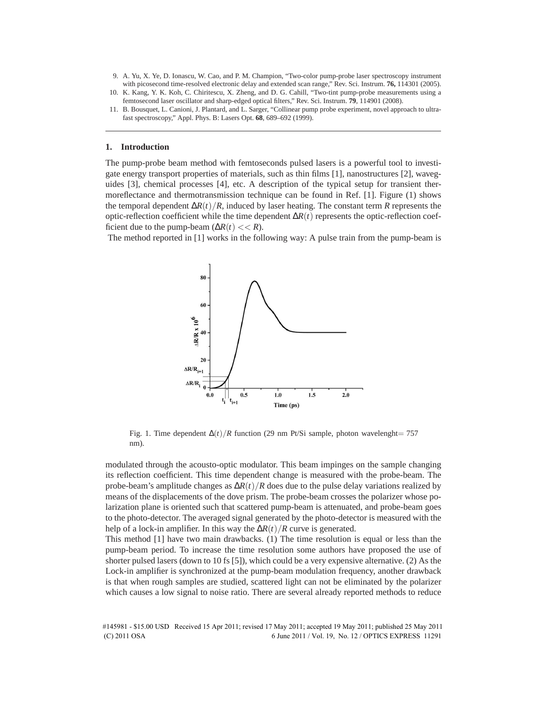- 9. A. Yu, X. Ye, D. Ionascu, W. Cao, and P. M. Champion, "Two-color pump-probe laser spectroscopy instrument with picosecond time-resolved electronic delay and extended scan range," Rev. Sci. Instrum. **76,** 114301 (2005).
- 10. K. Kang, Y. K. Koh, C. Chiritescu, X. Zheng, and D. G. Cahill, "Two-tint pump-probe measurements using a femtosecond laser oscillator and sharp-edged optical filters," Rev. Sci. Instrum. **79**, 114901 (2008).
- 11. B. Bousquet, L. Canioni, J. Plantard, and L. Sarger, "Collinear pump probe experiment, novel approach to ultrafast spectroscopy," Appl. Phys. B: Lasers Opt. **68**, 689–692 (1999).

## **1. Introduction**

The pump-probe beam method with femtoseconds pulsed lasers is a powerful tool to investigate energy transport properties of materials, such as thin films [1], nanostructures [2], waveguides [3], chemical processes [4], etc. A description of the typical setup for transient thermoreflectance and thermotransmission technique can be found in Ref. [1]. Figure (1) shows the temporal dependent ∆*R*(*t*)/*R*, induced by laser heating. The constant term *R* represents the optic-reflection coefficient while the time dependent ∆*R*(*t*) represents the optic-reflection coefficient due to the pump-beam  $(\Delta R(t) << R)$ .

The method reported in [1] works in the following way: A pulse train from the pump-beam is



Fig. 1. Time dependent  $\Delta(t)/R$  function (29 nm Pt/Si sample, photon wavelenght= 757 nm).

modulated through the acousto-optic modulator. This beam impinges on the sample changing its reflection coefficient. This time dependent change is measured with the probe-beam. The probe-beam's amplitude changes as ∆*R*(*t*)/*R* does due to the pulse delay variations realized by means of the displacements of the dove prism. The probe-beam crosses the polarizer whose polarization plane is oriented such that scattered pump-beam is attenuated, and probe-beam goes to the photo-detector. The averaged signal generated by the photo-detector is measured with the help of a lock-in amplifier. In this way the ∆*R*(*t*)/*R* curve is generated.

This method [1] have two main drawbacks. (1) The time resolution is equal or less than the pump-beam period. To increase the time resolution some authors have proposed the use of shorter pulsed lasers (down to 10 fs [5]), which could be a very expensive alternative. (2) As the Lock-in amplifier is synchronized at the pump-beam modulation frequency, another drawback is that when rough samples are studied, scattered light can not be eliminated by the polarizer which causes a low signal to noise ratio. There are several already reported methods to reduce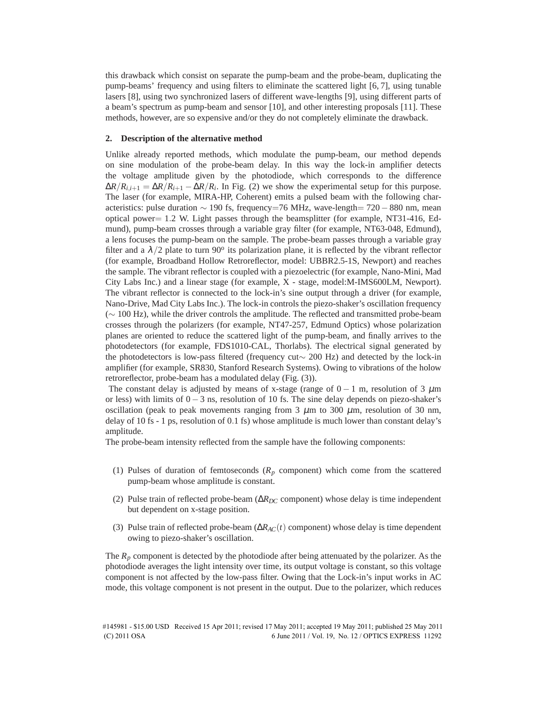this drawback which consist on separate the pump-beam and the probe-beam, duplicating the pump-beams' frequency and using filters to eliminate the scattered light [6, 7], using tunable lasers [8], using two synchronized lasers of different wave-lengths [9], using different parts of a beam's spectrum as pump-beam and sensor [10], and other interesting proposals [11]. These methods, however, are so expensive and/or they do not completely eliminate the drawback.

## **2. Description of the alternative method**

Unlike already reported methods, which modulate the pump-beam, our method depends on sine modulation of the probe-beam delay. In this way the lock-in amplifier detects the voltage amplitude given by the photodiode, which corresponds to the difference  $\Delta R/R_{i,i+1} = \Delta R/R_{i+1} - \Delta R/R_i$ . In Fig. (2) we show the experimental setup for this purpose. The laser (for example, MIRA-HP, Coherent) emits a pulsed beam with the following characteristics: pulse duration  $\sim$  190 fs, frequency=76 MHz, wave-length= 720 – 880 nm, mean optical power= 1.2 W. Light passes through the beamsplitter (for example, NT31-416, Edmund), pump-beam crosses through a variable gray filter (for example, NT63-048, Edmund), a lens focuses the pump-beam on the sample. The probe-beam passes through a variable gray filter and a  $\lambda/2$  plate to turn 90<sup>o</sup> its polarization plane, it is reflected by the vibrant reflector (for example, Broadband Hollow Retroreflector, model: UBBR2.5-1S, Newport) and reaches the sample. The vibrant reflector is coupled with a piezoelectric (for example, Nano-Mini, Mad City Labs Inc.) and a linear stage (for example, X - stage, model:M-IMS600LM, Newport). The vibrant reflector is connected to the lock-in's sine output through a driver (for example, Nano-Drive, Mad City Labs Inc.). The lock-in controls the piezo-shaker's oscillation frequency (∼ 100 Hz), while the driver controls the amplitude. The reflected and transmitted probe-beam crosses through the polarizers (for example, NT47-257, Edmund Optics) whose polarization planes are oriented to reduce the scattered light of the pump-beam, and finally arrives to the photodetectors (for example, FDS1010-CAL, Thorlabs). The electrical signal generated by the photodetectors is low-pass filtered (frequency cut∼ 200 Hz) and detected by the lock-in amplifier (for example, SR830, Stanford Research Systems). Owing to vibrations of the holow retroreflector, probe-beam has a modulated delay (Fig. (3)).

The constant delay is adjusted by means of x-stage (range of  $0 - 1$  m, resolution of 3  $\mu$ m or less) with limits of  $0 - 3$  ns, resolution of 10 fs. The sine delay depends on piezo-shaker's oscillation (peak to peak movements ranging from  $3 \mu$ m to  $300 \mu$ m, resolution of  $30 \text{ nm}$ , delay of 10 fs - 1 ps, resolution of 0.1 fs) whose amplitude is much lower than constant delay's amplitude.

The probe-beam intensity reflected from the sample have the following components:

- (1) Pulses of duration of femtoseconds  $(R_p \text{ component})$  which come from the scattered pump-beam whose amplitude is constant.
- (2) Pulse train of reflected probe-beam (∆*RDC* component) whose delay is time independent but dependent on x-stage position.
- (3) Pulse train of reflected probe-beam (∆*RAC*(*t*) component) whose delay is time dependent owing to piezo-shaker's oscillation.

The *R<sup>p</sup>* component is detected by the photodiode after being attenuated by the polarizer. As the photodiode averages the light intensity over time, its output voltage is constant, so this voltage component is not affected by the low-pass filter. Owing that the Lock-in's input works in AC mode, this voltage component is not present in the output. Due to the polarizer, which reduces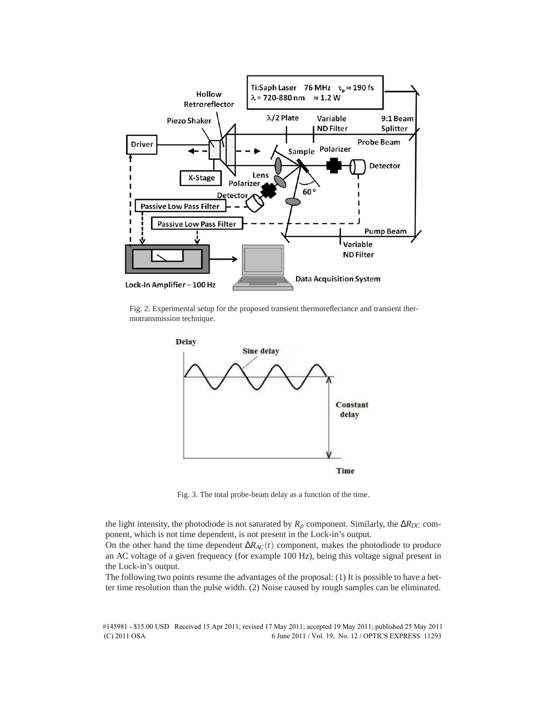

Fig. 2. Experimental setup for the proposed transient thermoreflectance and transient thermotransmission technique.



Fig. 3. The total probe-beam delay as a function of the time.

the light intensity, the photodiode is not saturated by  $R_p$  component. Similarly, the  $\Delta R_{DC}$  component, which is not time dependent, is not present in the Lock-in's output.

On the other hand the time dependent ∆*RAC*(*t*) component, makes the photodiode to produce an AC voltage of a given frequency (for example 100 Hz), being this voltage signal present in the Lock-in's output.

The following two points resume the advantages of the proposal: (1) It is possible to have a better time resolution than the pulse width. (2) Noise caused by rough samples can be eliminated.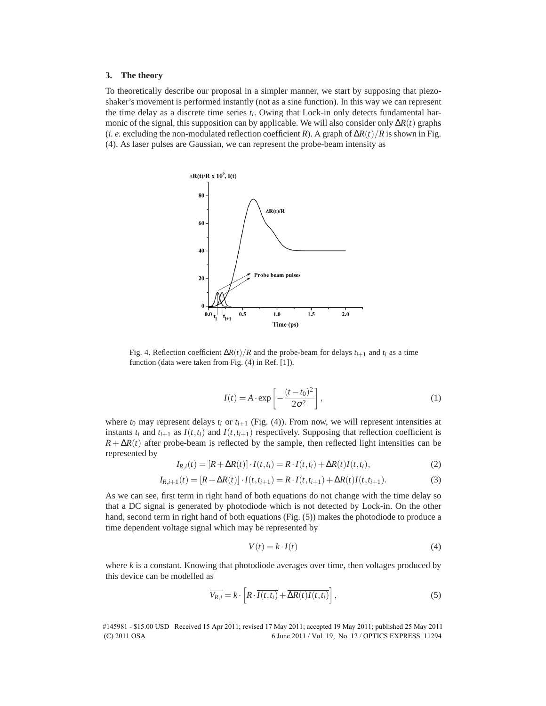#### **3. The theory**

To theoretically describe our proposal in a simpler manner, we start by supposing that piezoshaker's movement is performed instantly (not as a sine function). In this way we can represent the time delay as a discrete time series *t<sup>i</sup>* . Owing that Lock-in only detects fundamental harmonic of the signal, this supposition can by applicable. We will also consider only ∆*R*(*t*) graphs (*i. e.* excluding the non-modulated reflection coefficient *R*). A graph of  $\Delta R(t)/R$  is shown in Fig. (4). As laser pulses are Gaussian, we can represent the probe-beam intensity as



Fig. 4. Reflection coefficient  $\Delta R(t)/R$  and the probe-beam for delays  $t_{i+1}$  and  $t_i$  as a time function (data were taken from Fig. (4) in Ref. [1]).

$$
I(t) = A \cdot \exp\left[-\frac{(t - t_0)^2}{2\sigma^2}\right],
$$
\n(1)

where  $t_0$  may represent delays  $t_i$  or  $t_{i+1}$  (Fig. (4)). From now, we will represent intensities at instants  $t_i$  and  $t_{i+1}$  as  $I(t,t_i)$  and  $I(t,t_{i+1})$  respectively. Supposing that reflection coefficient is  $R + \Delta R(t)$  after probe-beam is reflected by the sample, then reflected light intensities can be represented by

$$
I_{R,i}(t) = [R + \Delta R(t)] \cdot I(t,t_i) = R \cdot I(t,t_i) + \Delta R(t)I(t,t_i),
$$
\n(2)

$$
I_{R,i+1}(t) = [R + \Delta R(t)] \cdot I(t, t_{i+1}) = R \cdot I(t, t_{i+1}) + \Delta R(t)I(t, t_{i+1}).
$$
\n(3)

As we can see, first term in right hand of both equations do not change with the time delay so that a DC signal is generated by photodiode which is not detected by Lock-in. On the other hand, second term in right hand of both equations (Fig. (5)) makes the photodiode to produce a time dependent voltage signal which may be represented by

$$
V(t) = k \cdot I(t) \tag{4}
$$

where *k* is a constant. Knowing that photodiode averages over time, then voltages produced by this device can be modelled as

$$
\overline{V_{R,i}} = k \cdot \left[ R \cdot \overline{I(t, t_i)} + \overline{\Delta R(t) I(t, t_i)} \right],
$$
\n(5)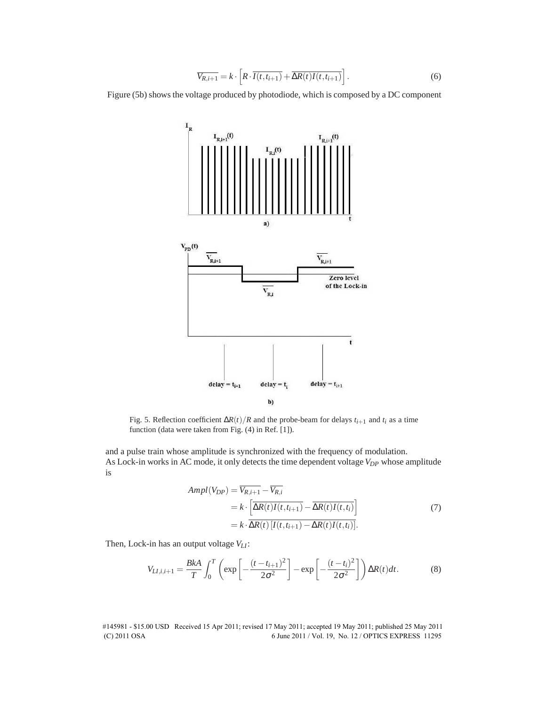$$
\overline{V_{R,i+1}} = k \cdot \left[ R \cdot \overline{I(t, t_{i+1})} + \overline{\Delta R(t)I(t, t_{i+1})} \right].
$$
 (6)

Figure (5b) shows the voltage produced by photodiode, which is composed by a DC component



Fig. 5. Reflection coefficient  $\Delta R(t)/R$  and the probe-beam for delays  $t_{i+1}$  and  $t_i$  as a time function (data were taken from Fig. (4) in Ref. [1]).

and a pulse train whose amplitude is synchronized with the frequency of modulation. As Lock-in works in AC mode, it only detects the time dependent voltage *VDP* whose amplitude is

$$
Ampl(V_{DP}) = \overline{V_{R,i+1}} - \overline{V_{R,i}}
$$
  
=  $k \cdot \left[ \overline{\Delta R(t)I(t, t_{i+1})} - \overline{\Delta R(t)I(t, t_i)} \right]$   
=  $k \cdot \overline{\Delta R(t) [I(t, t_{i+1}) - \Delta R(t)I(t, t_i)]}$ . (7)

Then, Lock-in has an output voltage *VLI*:

$$
V_{LI,i,i+1} = \frac{BkA}{T} \int_0^T \left( \exp\left[ -\frac{(t - t_{i+1})^2}{2\sigma^2} \right] - \exp\left[ -\frac{(t - t_i)^2}{2\sigma^2} \right] \right) \Delta R(t) dt.
$$
 (8)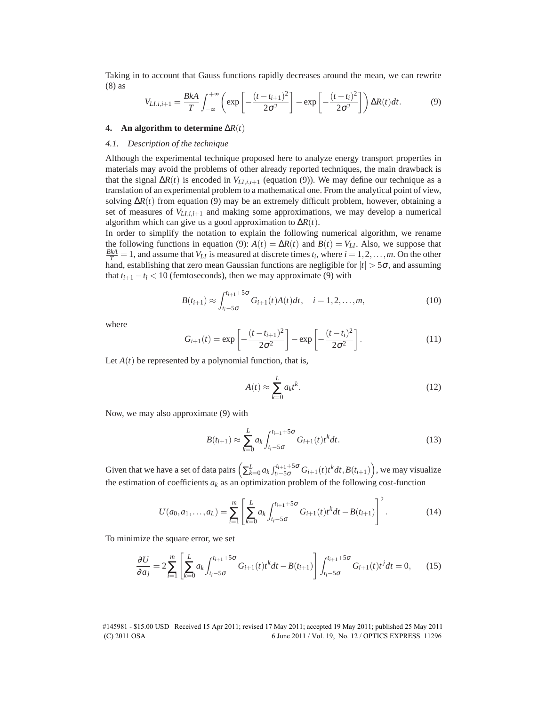Taking in to account that Gauss functions rapidly decreases around the mean, we can rewrite (8) as

$$
V_{LI,i,i+1} = \frac{BkA}{T} \int_{-\infty}^{+\infty} \left( \exp\left[ -\frac{(t - t_{i+1})^2}{2\sigma^2} \right] - \exp\left[ -\frac{(t - t_i)^2}{2\sigma^2} \right] \right) \Delta R(t) dt.
$$
 (9)

## **4.** An algorithm to determine  $\Delta R(t)$

### *4.1. Description of the technique*

Although the experimental technique proposed here to analyze energy transport properties in materials may avoid the problems of other already reported techniques, the main drawback is that the signal  $\Delta R(t)$  is encoded in  $V_{L1,i,i+1}$  (equation (9)). We may define our technique as a translation of an experimental problem to a mathematical one. From the analytical point of view, solving  $\Delta R(t)$  from equation (9) may be an extremely difficult problem, however, obtaining a set of measures of  $V_{L1,i,i+1}$  and making some approximations, we may develop a numerical algorithm which can give us a good approximation to ∆*R*(*t*).

In order to simplify the notation to explain the following numerical algorithm, we rename the following functions in equation (9):  $A(t) = \Delta R(t)$  and  $B(t) = V_{LI}$ . Also, we suppose that  $\frac{BkA}{T} = 1$ , and assume that *V<sub>LI</sub>* is measured at discrete times  $t_i$ , where  $i = 1, 2, ..., m$ . On the other hand, establishing that zero mean Gaussian functions are negligible for  $|t| > 5\sigma$ , and assuming that  $t_{i+1} - t_i < 10$  (femtoseconds), then we may approximate (9) with

$$
B(t_{i+1}) \approx \int_{t_i-5\sigma}^{t_{i+1}+5\sigma} G_{i+1}(t)A(t)dt, \quad i = 1, 2, ..., m,
$$
 (10)

where

$$
G_{i+1}(t) = \exp\left[-\frac{(t - t_{i+1})^2}{2\sigma^2}\right] - \exp\left[-\frac{(t - t_i)^2}{2\sigma^2}\right].
$$
 (11)

Let  $A(t)$  be represented by a polynomial function, that is,

$$
A(t) \approx \sum_{k=0}^{L} a_k t^k.
$$
 (12)

Now, we may also approximate (9) with

$$
B(t_{i+1}) \approx \sum_{k=0}^{L} a_k \int_{t_i-5\sigma}^{t_{i+1}+5\sigma} G_{i+1}(t) t^k dt.
$$
 (13)

Given that we have a set of data pairs  $\left(\sum_{k=0}^{L} a_k \int_{t_i-5\sigma}^{t_{i+1}+5\sigma} G_{i+1}(t) t^k dt, B(t_{i+1})\right)$ , we may visualize the estimation of coefficients  $a_k$  as an optimization problem of the following cost-function

$$
U(a_0, a_1, \dots, a_L) = \sum_{i=1}^m \left[ \sum_{k=0}^L a_k \int_{t_i - 5\sigma}^{t_{i+1} + 5\sigma} G_{i+1}(t) t^k dt - B(t_{i+1}) \right]^2.
$$
 (14)

To minimize the square error, we set

$$
\frac{\partial U}{\partial a_j} = 2 \sum_{i=1}^m \left[ \sum_{k=0}^L a_k \int_{t_i - 5\sigma}^{t_{i+1} + 5\sigma} G_{i+1}(t) t^k dt - B(t_{i+1}) \right] \int_{t_i - 5\sigma}^{t_{i+1} + 5\sigma} G_{i+1}(t) t^j dt = 0, \quad (15)
$$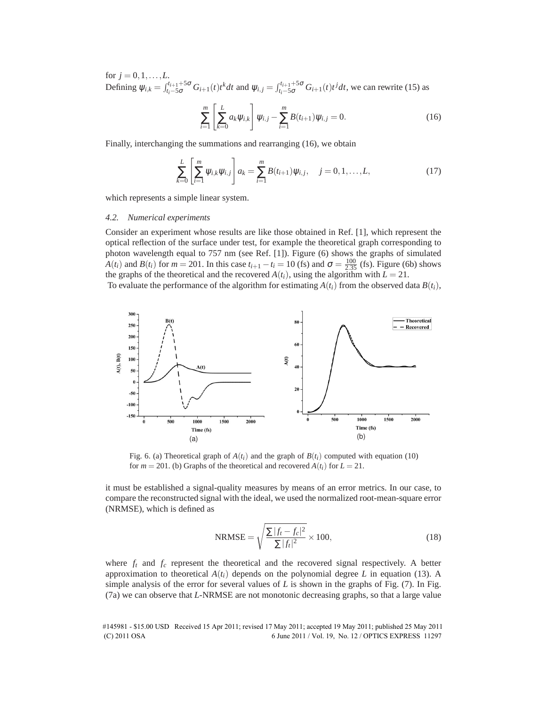for  $j = 0, 1, ..., L$ . Defining  $\psi_{i,k} = \int_{t_i-5\sigma}^{t_{i+1}+5\sigma} G_{i+1}(t) t^k dt$  and  $\psi_{i,j} = \int_{t_i-5\sigma}^{t_{i+1}+5\sigma} G_{i+1}(t) t^j dt$ , we can rewrite (15) as

$$
\sum_{i=1}^{m} \left[ \sum_{k=0}^{L} a_k \psi_{i,k} \right] \psi_{i,j} - \sum_{i=1}^{m} B(t_{i+1}) \psi_{i,j} = 0.
$$
 (16)

Finally, interchanging the summations and rearranging (16), we obtain

$$
\sum_{k=0}^{L} \left[ \sum_{i=1}^{m} \psi_{i,k} \psi_{i,j} \right] a_k = \sum_{i=1}^{m} B(t_{i+1}) \psi_{i,j}, \quad j = 0, 1, \dots, L,
$$
\n(17)

which represents a simple linear system.

#### *4.2. Numerical experiments*

Consider an experiment whose results are like those obtained in Ref. [1], which represent the optical reflection of the surface under test, for example the theoretical graph corresponding to photon wavelength equal to 757 nm (see Ref. [1]). Figure (6) shows the graphs of simulated *A*(*t<sub>i</sub>*) and *B*(*t<sub>i</sub>*) for *m* = 201. In this case  $t_{i+1} - t_i = 10$  (fs) and  $\sigma = \frac{100}{2.35}$  (fs). Figure (6b) shows the graphs of the theoretical and the recovered  $A(t_i)$ , using the algorithm with  $L = 21$ .

To evaluate the performance of the algorithm for estimating  $A(t_i)$  from the observed data  $B(t_i)$ ,



Fig. 6. (a) Theoretical graph of  $A(t_i)$  and the graph of  $B(t_i)$  computed with equation (10) for  $m = 201$ . (b) Graphs of the theoretical and recovered  $A(t_i)$  for  $L = 21$ .

it must be established a signal-quality measures by means of an error metrics. In our case, to compare the reconstructed signal with the ideal, we used the normalized root-mean-square error (NRMSE), which is defined as

$$
NRMSE = \sqrt{\frac{\sum |f_t - f_c|^2}{\sum |f_t|^2}} \times 100,
$$
\n(18)

where  $f_t$  and  $f_c$  represent the theoretical and the recovered signal respectively. A better approximation to theoretical  $A(t_i)$  depends on the polynomial degree L in equation (13). A simple analysis of the error for several values of  $L$  is shown in the graphs of Fig.  $(7)$ . In Fig. (7a) we can observe that *L*-NRMSE are not monotonic decreasing graphs, so that a large value